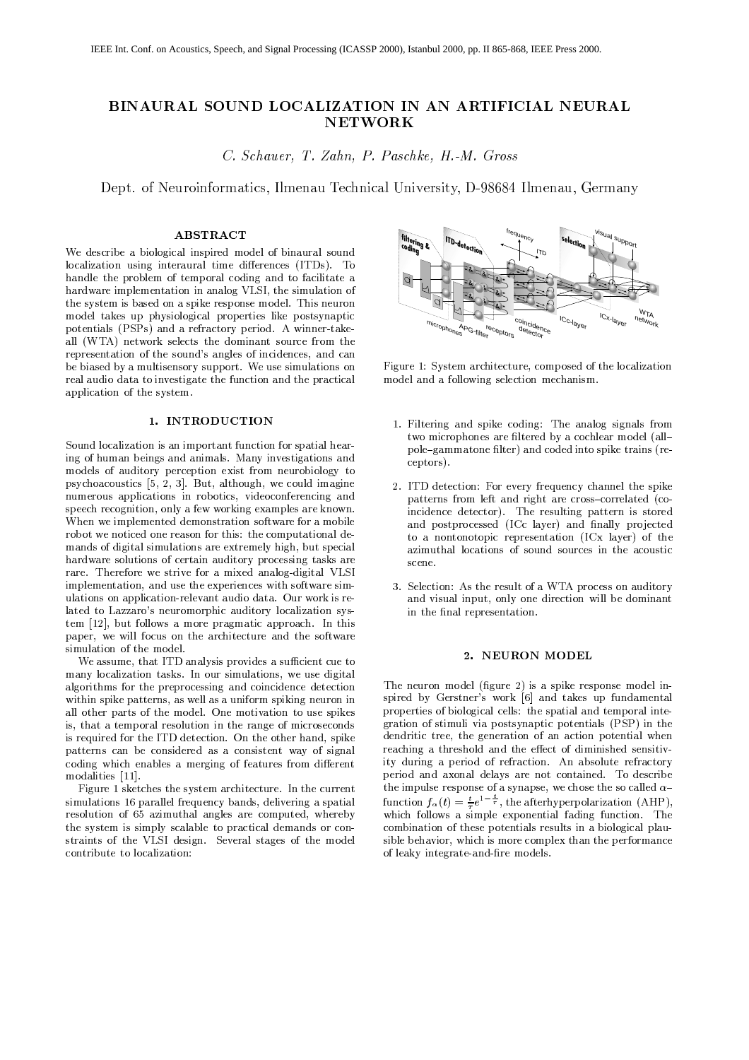# BINAURAL SOUND LOCALIZATION IN AN ARTIFICIAL NEURAL **NETWORK**

C. Schauer, T. Zahn, P. Paschke, H.-M. Gross

Dept. of Neuroinformatics, Ilmenau Technical University, D-98684 Ilmenau, Germany

#### **ABSTRACT**

We describe a biological inspired model of binaural sound localization using interaural time differences (ITDs). To handle the problem of temporal coding and to facilitate a hardware implementation in analog VLSI, the simulation of the system is based on a spike response model. This neuron model takes up physiological properties like postsynaptic potentials (PSPs) and a refractory period. A winner-takeall (WTA) network selects the dominant source from the representation of the sound's angles of incidences, and can be biased by a multisensory support. We use simulations on real audio data to investigate the function and the practical application of the system.

## 1. INTRODUCTION

Sound localization is an important function for spatial hearing of human beings and animals. Many investigations and models of auditory perception exist from neurobiology to psychoacoustics [5, 2, 3]. But, although, we could imagine numerous applications in robotics, videoconferencing and speech recognition, only a few working examples are known. When we implemented demonstration software for a mobile robot we noticed one reason for this: the computational demands of digital simulations are extremely high, but special hardware solutions of certain auditory processing tasks are rare. Therefore we strive for a mixed analog-digital VLSI implementation, and use the experiences with software simulations on application-relevant audio data. Our work is related to Lazzaro's neuromorphic auditory localization system [12], but follows a more pragmatic approach. In this paper, we will focus on the architecture and the software simulation of the model.

We assume, that ITD analysis provides a sufficient cue to many localization tasks. In our simulations, we use digital algorithms for the preprocessing and coincidence detection within spike patterns, as well as a uniform spiking neuron in all other parts of the model. One motivation to use spikes is, that a temporal resolution in the range of microseconds is required for the ITD detection. On the other hand, spike patterns can be considered as a consistent way of signal coding which enables a merging of features from different modalities [11].

Figure 1 sketches the system architecture. In the current simulations 16 parallel frequency bands, delivering a spatial resolution of 65 azimuthal angles are computed, whereby the system is simply scalable to practical demands or constraints of the VLSI design. Several stages of the model contribute to localization:



Figure 1: System architecture, composed of the localization model and a following selection mechanism.

- 1. Filtering and spike coding: The analog signals from two microphones are filtered by a cochlear model (allpole-gammatone filter) and coded into spike trains (receptors).
- 2. ITD detection: For every frequency channel the spike patterns from left and right are cross-correlated (coincidence detector). The resulting pattern is stored and postprocessed (ICc layer) and finally projected to a nontonotopic representation (ICx layer) of the azimuthal locations of sound sources in the acoustic scene
- 3. Selection: As the result of a WTA process on auditory and visual input, only one direction will be dominant in the final representation.

## 2. NEURON MODEL

The neuron model (figure 2) is a spike response model inspired by Gerstner's work [6] and takes up fundamental properties of biological cells: the spatial and temporal integration of stimuli via postsynaptic potentials (PSP) in the dendritic tree, the generation of an action potential when reaching a threshold and the effect of diminished sensitivity during a period of refraction. An absolute refractory period and axonal delays are not contained. To describe the impulse response of a synapse, we chose the so called  $\alpha$ function  $f_{\alpha}(t) = \frac{t}{\tau}e^{1-\frac{t}{\tau}}$ , the afterhyperpolarization (AHP). which follows a simple exponential fading function. The combination of these potentials results in a biological plausible behavior, which is more complex than the performance of leaky integrate-and-fire models.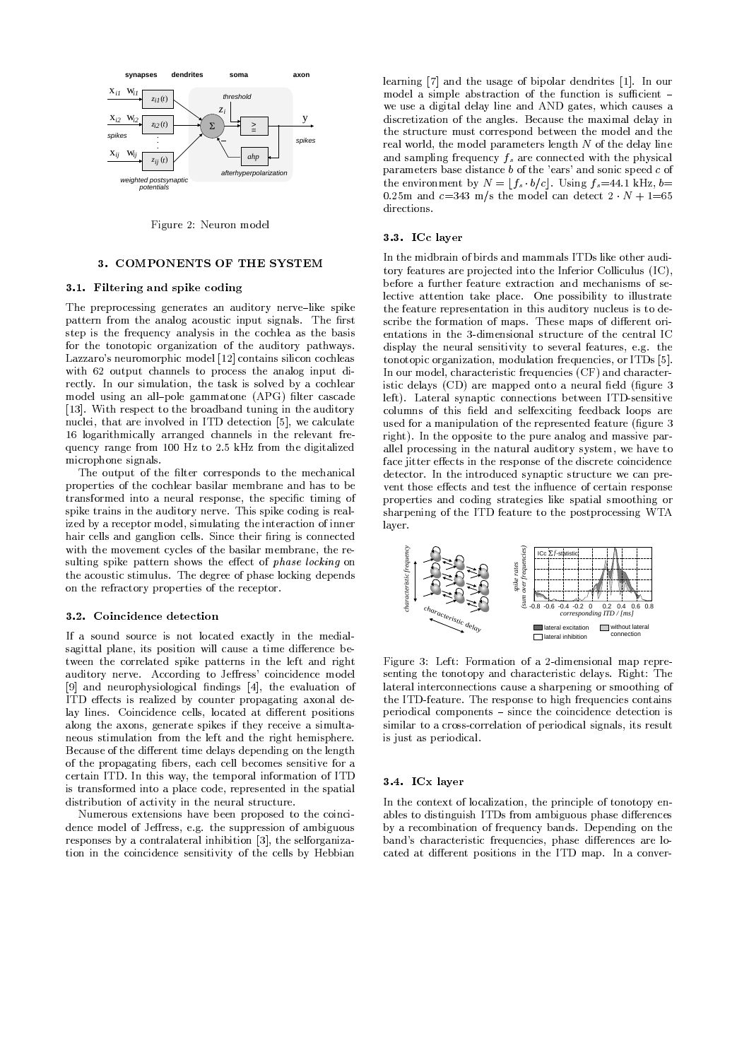

Figure 2: Neuron model

## 3. COMPONENTS OF THE SYSTEM

## 3.1. Filtering and spike coding

The preprocessing generates an auditory nerve-like spike pattern from the analog acoustic input signals. The first step is the frequency analysis in the cochlea as the basis for the tonotopic organization of the auditory pathways. Lazzaro's neuromorphic model [12] contains silicon cochleas with 62 output channels to process the analog input directly. In our simulation, the task is solved by a cochlear model using an all-pole gammatone (APG) filter cascade [13]. With respect to the broadband tuning in the auditory nuclei, that are involved in ITD detection [5], we calculate 16 logarithmically arranged channels in the relevant frequency range from 100 Hz to 2.5 kHz from the digitalized microphone signals

The output of the filter corresponds to the mechanical properties of the cochlear basilar membrane and has to be transformed into a neural response, the specific timing of spike trains in the auditory nerve. This spike coding is realized by a receptor model, simulating the interaction of inner hair cells and ganglion cells. Since their firing is connected with the movement cycles of the basilar membrane, the resulting spike pattern shows the effect of *phase locking* on the acoustic stimulus. The degree of phase locking depends on the refractory properties of the receptor.

## 3.2. Coincidence detection

If a sound source is not located exactly in the medialsagittal plane, its position will cause a time difference between the correlated spike patterns in the left and right auditory nerve. According to Jeffress' coincidence model [9] and neurophysiological findings [4], the evaluation of ITD effects is realized by counter propagating axonal delay lines. Coincidence cells, located at different positions along the axons, generate spikes if they receive a simultaneous stimulation from the left and the right hemisphere. Because of the different time delays depending on the length of the propagating fibers, each cell becomes sensitive for a certain ITD. In this way, the temporal information of ITD is transformed into a place code, represented in the spatial distribution of activity in the neural structure.

Numerous extensions have been proposed to the coincidence model of Jeffress, e.g. the suppression of ambiguous responses by a contralateral inhibition [3], the selforganization in the coincidence sensitivity of the cells by Hebbian learning [7] and the usage of bipolar dendrites [1]. In our model a simple abstraction of the function is sufficient we use a digital delay line and AND gates, which causes a discretization of the angles. Because the maximal delay in the structure must correspond between the model and the real world, the model parameters length  $N$  of the delay line and sampling frequency  $f_s$  are connected with the physical parameters base distance  $b$  of the 'ears' and sonic speed  $c$  of the environment by  $N = |f_s \cdot b/c|$ . Using  $f_s = 44.1$  kHz,  $b =$ 0.25m and  $c=343$  m/s the model can detect  $2 \cdot N + 1=65$ directions

#### 3.3. ICc laver

In the midbrain of birds and mammals ITDs like other auditory features are projected into the Inferior Colliculus (IC), before a further feature extraction and mechanisms of selective attention take place. One possibility to illustrate the feature representation in this auditory nucleus is to describe the formation of maps. These maps of different orientations in the 3-dimensional structure of the central IC display the neural sensitivity to several features, e.g. the tonotopic organization, modulation frequencies, or ITDs [5]. In our model, characteristic frequencies (CF) and characteristic delays (CD) are mapped onto a neural field (figure 3 left). Lateral synaptic connections between ITD-sensitive columns of this field and selfexciting feedback loops are used for a manipulation of the represented feature (figure 3 right). In the opposite to the pure analog and massive parallel processing in the natural auditory system, we have to face jitter effects in the response of the discrete coincidence detector. In the introduced synaptic structure we can prevent those effects and test the influence of certain response properties and coding strategies like spatial smoothing or sharpening of the ITD feature to the postprocessing WTA layer.



Figure 3: Left: Formation of a 2-dimensional map representing the tonotopy and characteristic delays. Right: The lateral interconnections cause a sharpening or smoothing of the ITD-feature. The response to high frequencies contains periodical components – since the coincidence detection is similar to a cross-correlation of periodical signals, its result is just as periodical.

#### 3.4. ICx layer

In the context of localization, the principle of tonotopy enables to distinguish ITDs from ambiguous phase differences by a recombination of frequency bands. Depending on the band's characteristic frequencies, phase differences are located at different positions in the ITD map. In a conver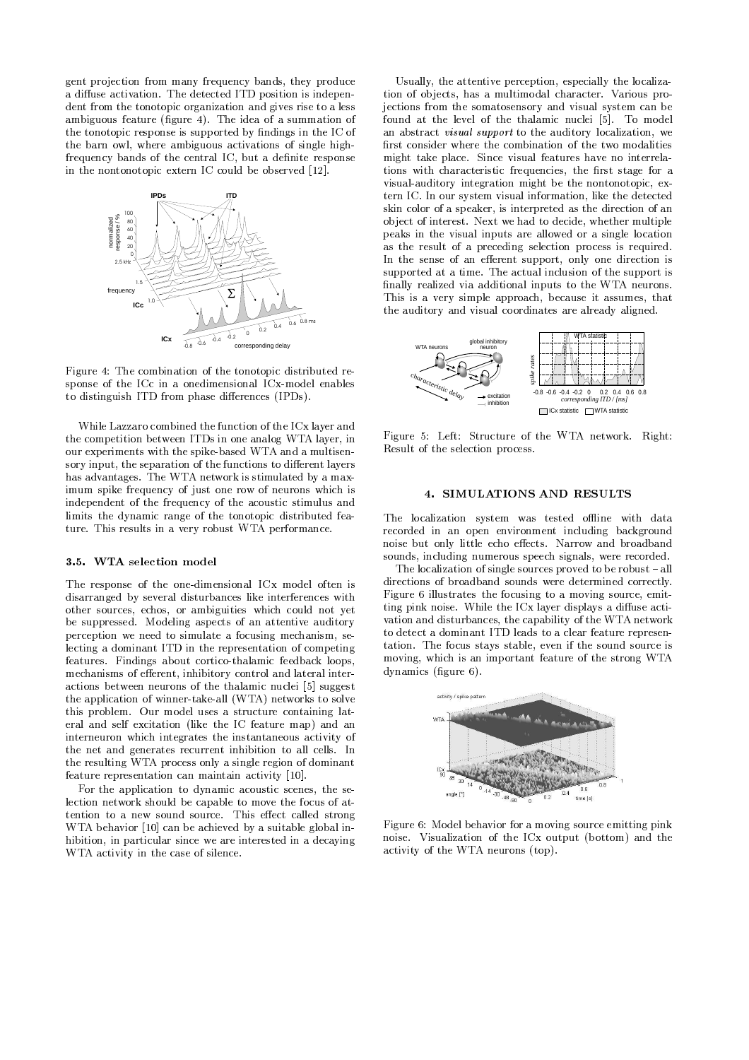gent projection from many frequency bands, they produce a diffuse activation. The detected ITD position is independent from the tonotopic organization and gives rise to a less ambiguous feature (figure 4). The idea of a summation of the tonotopic response is supported by findings in the IC of the barn owl, where ambiguous activations of single highfrequency bands of the central IC, but a definite response in the nontonotopic extern IC could be observed [12].



Figure 4: The combination of the tonotopic distributed response of the ICc in a onedimensional ICx-model enables to distinguish ITD from phase differences (IPDs).

While Lazzaro combined the function of the ICx layer and the competition between ITDs in one analog WTA layer, in our experiments with the spike-based WTA and a multisensory input, the separation of the functions to different layers has advantages. The WTA network is stimulated by a maximum spike frequency of just one row of neurons which is independent of the frequency of the acoustic stimulus and limits the dynamic range of the tonotopic distributed feature. This results in a very robust WTA performance.

#### 3.5. WTA selection model

The response of the one-dimensional ICx model often is disarranged by several disturbances like interferences with other sources, echos, or ambiguities which could not yet be suppressed. Modeling aspects of an attentive auditory perception we need to simulate a focusing mechanism, selecting a dominant ITD in the representation of competing features. Findings about cortico-thalamic feedback loops, mechanisms of efferent, inhibitory control and lateral interactions between neurons of the thalamic nuclei [5] suggest the application of winner-take-all (WTA) networks to solve this problem. Our model uses a structure containing lateral and self excitation (like the IC feature map) and an interneuron which integrates the instantaneous activity of the net and generates recurrent inhibition to all cells. In the resulting WTA process only a single region of dominant feature representation can maintain activity [10].

For the application to dynamic acoustic scenes, the selection network should be capable to move the focus of attention to a new sound source. This effect called strong WTA behavior [10] can be achieved by a suitable global inhibition, in particular since we are interested in a decaying WTA activity in the case of silence.

Usually, the attentive perception, especially the localization of objects, has a multimodal character. Various projections from the somatosensory and visual system can be found at the level of the thalamic nuclei [5]. To model an abstract visual support to the auditory localization, we first consider where the combination of the two modalities might take place. Since visual features have no interrelations with characteristic frequencies, the first stage for a visual-auditory integration might be the nontonotopic, extern IC. In our system visual information, like the detected skin color of a speaker, is interpreted as the direction of an object of interest. Next we had to decide, whether multiple peaks in the visual inputs are allowed or a single location as the result of a preceding selection process is required. In the sense of an efferent support, only one direction is supported at a time. The actual inclusion of the support is finally realized via additional inputs to the WTA neurons. This is a very simple approach, because it assumes, that the auditory and visual coordinates are already aligned.



Figure 5: Left: Structure of the WTA network. Right: Result of the selection process.

#### 4. SIMULATIONS AND RESULTS

The localization system was tested offline with data recorded in an open environment including background noise but only little echo effects. Narrow and broadband sounds, including numerous speech signals, were recorded.

The localization of single sources proved to be robust  $-\text{all}$ directions of broadband sounds were determined correctly. Figure 6 illustrates the focusing to a moving source, emitting pink noise. While the ICx layer displays a diffuse activation and disturbances, the capability of the WTA network to detect a dominant ITD leads to a clear feature representation. The focus stays stable, even if the sound source is moving, which is an important feature of the strong WTA dynamics (figure 6).



Figure 6: Model behavior for a moving source emitting pink noise. Visualization of the ICx output (bottom) and the activity of the WTA neurons (top).